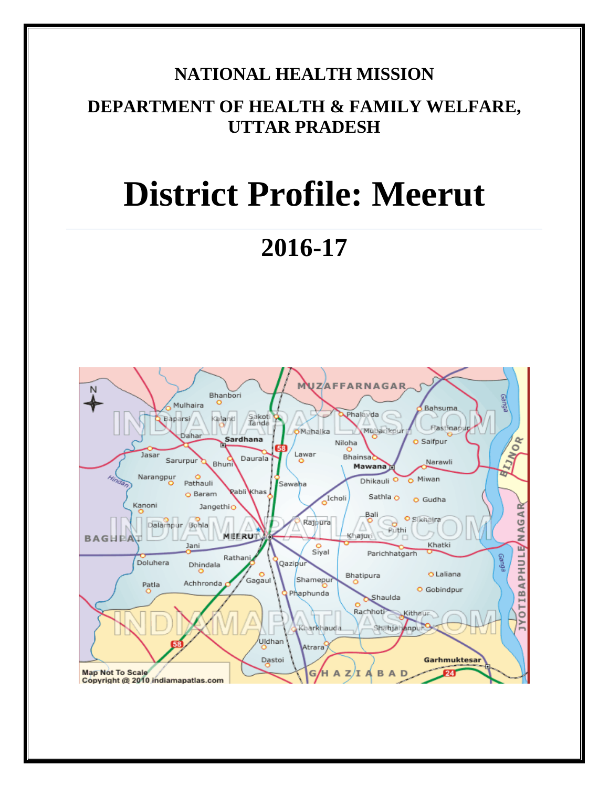# **NATIONAL HEALTH MISSION**

# **DEPARTMENT OF HEALTH & FAMILY WELFARE, UTTAR PRADESH**

# **District Profile: Meerut**

# **2016-17**

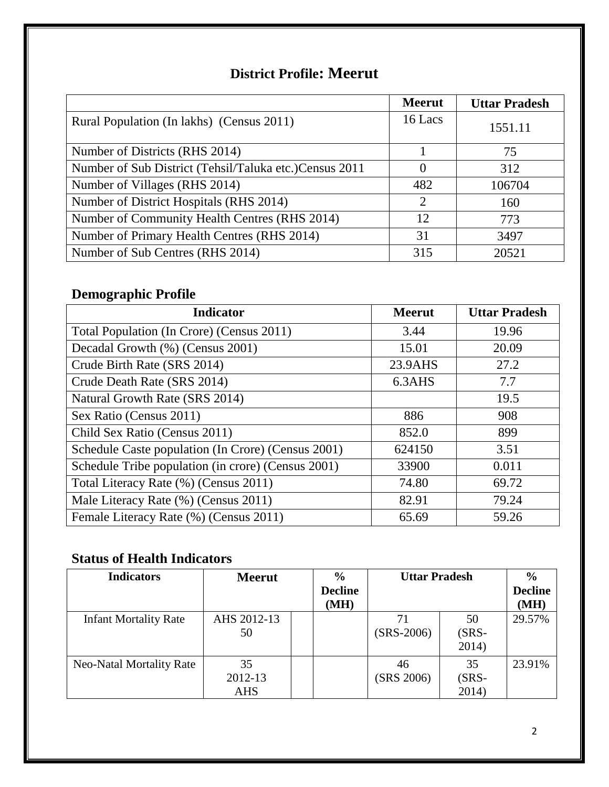### **District Profile: Meerut**

|                                                        | <b>Meerut</b>               | <b>Uttar Pradesh</b> |
|--------------------------------------------------------|-----------------------------|----------------------|
| Rural Population (In lakhs) (Census 2011)              | 16 Lacs                     | 1551.11              |
| Number of Districts (RHS 2014)                         |                             | 75                   |
| Number of Sub District (Tehsil/Taluka etc.)Census 2011 |                             | 312                  |
| Number of Villages (RHS 2014)                          | 482                         | 106704               |
| Number of District Hospitals (RHS 2014)                | $\mathcal{D}_{\mathcal{L}}$ | 160                  |
| Number of Community Health Centres (RHS 2014)          | 12                          | 773                  |
| Number of Primary Health Centres (RHS 2014)            | 31                          | 3497                 |
| Number of Sub Centres (RHS 2014)                       | 315                         | 20521                |

# **Demographic Profile**

| <b>Indicator</b>                                   | <b>Meerut</b> | <b>Uttar Pradesh</b> |
|----------------------------------------------------|---------------|----------------------|
| Total Population (In Crore) (Census 2011)          | 3.44          | 19.96                |
| Decadal Growth (%) (Census 2001)                   | 15.01         | 20.09                |
| Crude Birth Rate (SRS 2014)                        | 23.9AHS       | 27.2                 |
| Crude Death Rate (SRS 2014)                        | 6.3AHS        | 7.7                  |
| Natural Growth Rate (SRS 2014)                     |               | 19.5                 |
| Sex Ratio (Census 2011)                            | 886           | 908                  |
| Child Sex Ratio (Census 2011)                      | 852.0         | 899                  |
| Schedule Caste population (In Crore) (Census 2001) | 624150        | 3.51                 |
| Schedule Tribe population (in crore) (Census 2001) | 33900         | 0.011                |
| Total Literacy Rate (%) (Census 2011)              | 74.80         | 69.72                |
| Male Literacy Rate (%) (Census 2011)               | 82.91         | 79.24                |
| Female Literacy Rate (%) (Census 2011)             | 65.69         | 59.26                |

# **Status of Health Indicators**

| <b>Indicators</b>               | <b>Meerut</b>               | $\frac{6}{9}$<br><b>Decline</b><br>(MH) | <b>Uttar Pradesh</b> |                        | $\frac{6}{6}$<br><b>Decline</b><br>(MH) |
|---------------------------------|-----------------------------|-----------------------------------------|----------------------|------------------------|-----------------------------------------|
| <b>Infant Mortality Rate</b>    | AHS 2012-13<br>50           |                                         | $(SRS-2006)$         | 50<br>$(SRS-$<br>2014) | 29.57%                                  |
| <b>Neo-Natal Mortality Rate</b> | 35<br>2012-13<br><b>AHS</b> |                                         | 46<br>(SRS 2006)     | 35<br>$(SRS-$<br>2014) | 23.91%                                  |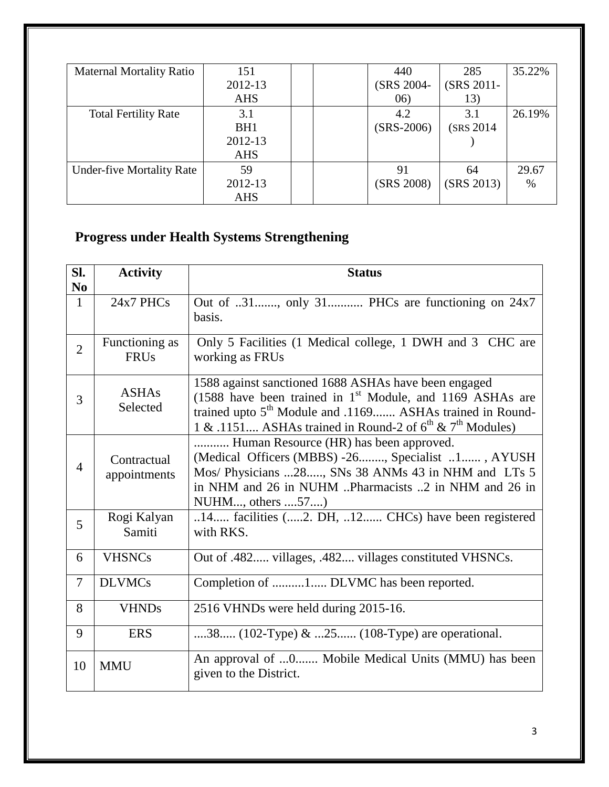| <b>Maternal Mortality Ratio</b>  | 151             | 440          | 285        | 35.22% |
|----------------------------------|-----------------|--------------|------------|--------|
|                                  | 2012-13         | (SRS 2004-   | (SRS 2011- |        |
|                                  | <b>AHS</b>      | (06)         | 13)        |        |
| <b>Total Fertility Rate</b>      | 3.1             | 4.2          | 3.1        | 26.19% |
|                                  | BH <sub>1</sub> | $(SRS-2006)$ | (SRS 2014) |        |
|                                  | 2012-13         |              |            |        |
|                                  | <b>AHS</b>      |              |            |        |
| <b>Under-five Mortality Rate</b> | 59              | 91           | 64         | 29.67  |
|                                  | 2012-13         | (SRS 2008)   | (SRS 2013) | $\%$   |
|                                  | <b>AHS</b>      |              |            |        |

# **Progress under Health Systems Strengthening**

| SI.<br>N <sub>0</sub> | <b>Activity</b>               | <b>Status</b>                                                                                                                                                                                                                                                      |
|-----------------------|-------------------------------|--------------------------------------------------------------------------------------------------------------------------------------------------------------------------------------------------------------------------------------------------------------------|
| $\mathbf{1}$          | 24x7 PHCs                     | Out of 31, only 31 PHCs are functioning on 24x7<br>basis.                                                                                                                                                                                                          |
| $\overline{2}$        | Functioning as<br><b>FRUs</b> | Only 5 Facilities (1 Medical college, 1 DWH and 3 CHC are<br>working as FRUs                                                                                                                                                                                       |
| 3                     | <b>ASHAs</b><br>Selected      | 1588 against sanctioned 1688 ASHAs have been engaged<br>(1588 have been trained in $1st$ Module, and 1169 ASHAs are<br>trained upto 5 <sup>th</sup> Module and .1169 ASHAs trained in Round-<br>1 & .1151 ASHAs trained in Round-2 of $6^{th}$ & $7^{th}$ Modules) |
| $\overline{4}$        | Contractual<br>appointments   | Human Resource (HR) has been approved.<br>(Medical Officers (MBBS) -26, Specialist 1, AYUSH<br>Mos/ Physicians 28, SNs 38 ANMs 43 in NHM and LTs 5<br>in NHM and 26 in NUHM Pharmacists 2 in NHM and 26 in<br>NUHM, others 57)                                     |
| 5                     | Rogi Kalyan<br>Samiti         | 14 facilities (2. DH, 12 CHCs) have been registered<br>with RKS.                                                                                                                                                                                                   |
| 6                     | <b>VHSNCs</b>                 | Out of .482 villages, .482 villages constituted VHSNCs.                                                                                                                                                                                                            |
| 7                     | <b>DLVMCs</b>                 | Completion of 1 DLVMC has been reported.                                                                                                                                                                                                                           |
| 8                     | <b>VHNDs</b>                  | 2516 VHNDs were held during 2015-16.                                                                                                                                                                                                                               |
| 9                     | <b>ERS</b>                    | 38 (102-Type) & 25 (108-Type) are operational.                                                                                                                                                                                                                     |
| 10                    | <b>MMU</b>                    | An approval of 0 Mobile Medical Units (MMU) has been<br>given to the District.                                                                                                                                                                                     |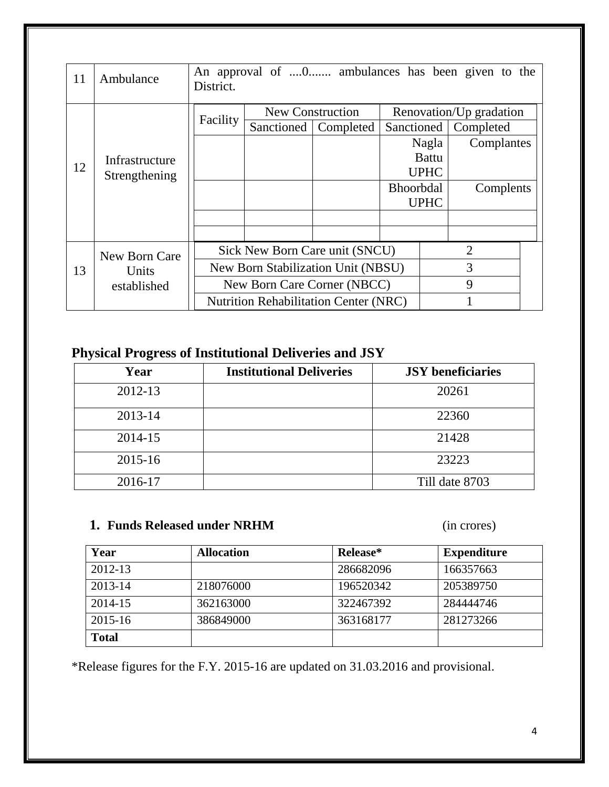| 11 | Ambulance           | An approval of 0 ambulances has been given to the<br>District.                                      |                                              |           |                  |              |                         |  |
|----|---------------------|-----------------------------------------------------------------------------------------------------|----------------------------------------------|-----------|------------------|--------------|-------------------------|--|
|    |                     |                                                                                                     | New Construction                             |           |                  |              | Renovation/Up gradation |  |
|    |                     | Facility                                                                                            | Sanctioned                                   | Completed | Sanctioned       |              | Completed               |  |
|    |                     |                                                                                                     |                                              |           |                  | Nagla        | Complantes              |  |
|    | Infrastructure      |                                                                                                     |                                              |           |                  | <b>Battu</b> |                         |  |
|    | 12<br>Strengthening |                                                                                                     |                                              |           |                  | <b>UPHC</b>  |                         |  |
|    |                     |                                                                                                     |                                              |           | <b>Bhoorbdal</b> |              | Complents               |  |
|    |                     |                                                                                                     |                                              |           |                  | <b>UPHC</b>  |                         |  |
|    |                     |                                                                                                     |                                              |           |                  |              |                         |  |
|    |                     |                                                                                                     |                                              |           |                  |              |                         |  |
|    | New Born Care       | $\overline{2}$<br>Sick New Born Care unit (SNCU)                                                    |                                              |           |                  |              |                         |  |
| 13 |                     | 3<br>New Born Stabilization Unit (NBSU)<br>Units<br>9<br>New Born Care Corner (NBCC)<br>established |                                              |           |                  |              |                         |  |
|    |                     |                                                                                                     |                                              |           |                  |              |                         |  |
|    |                     |                                                                                                     | <b>Nutrition Rehabilitation Center (NRC)</b> |           |                  |              |                         |  |

## **Physical Progress of Institutional Deliveries and JSY**

| Year        | <b>Institutional Deliveries</b> | <b>JSY</b> beneficiaries |
|-------------|---------------------------------|--------------------------|
| 2012-13     |                                 | 20261                    |
| 2013-14     |                                 | 22360                    |
| 2014-15     |                                 | 21428                    |
| $2015 - 16$ |                                 | 23223                    |
| 2016-17     |                                 | Till date 8703           |

#### **1. Funds Released under NRHM** (in crores)

| Year         | <b>Allocation</b> | Release*  | <b>Expenditure</b> |
|--------------|-------------------|-----------|--------------------|
| 2012-13      |                   | 286682096 | 166357663          |
| 2013-14      | 218076000         | 196520342 | 205389750          |
| 2014-15      | 362163000         | 322467392 | 284444746          |
| 2015-16      | 386849000         | 363168177 | 281273266          |
| <b>Total</b> |                   |           |                    |

\*Release figures for the F.Y. 2015-16 are updated on 31.03.2016 and provisional.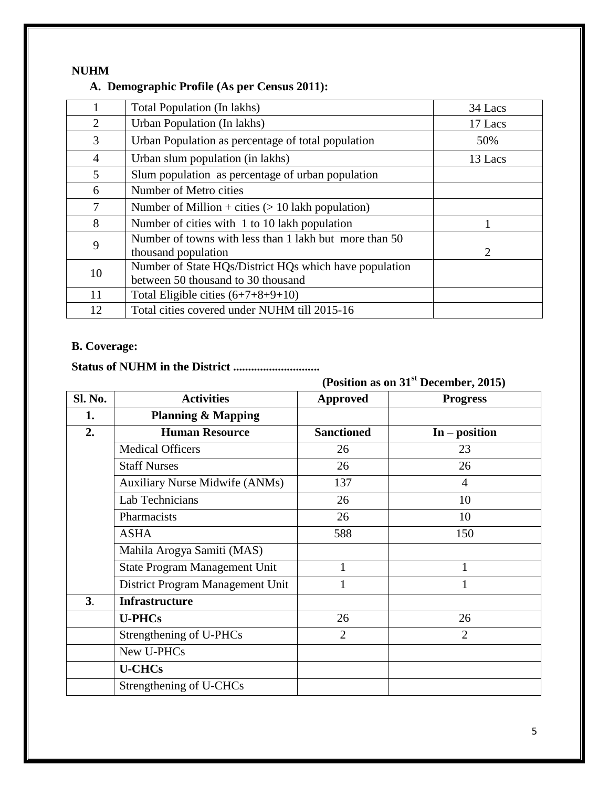#### **NUHM**

#### **A. Demographic Profile (As per Census 2011):**

| 1              | Total Population (In lakhs)                                                                  | 34 Lacs |
|----------------|----------------------------------------------------------------------------------------------|---------|
| 2              | Urban Population (In lakhs)                                                                  | 17 Lacs |
| 3              | Urban Population as percentage of total population                                           | 50%     |
| $\overline{4}$ | Urban slum population (in lakhs)                                                             | 13 Lacs |
| 5              | Slum population as percentage of urban population                                            |         |
| 6              | Number of Metro cities                                                                       |         |
| 7              | Number of Million + cities $(> 10$ lakh population)                                          |         |
| 8              | Number of cities with 1 to 10 lakh population                                                |         |
| 9              | Number of towns with less than 1 lakh but more than 50<br>thousand population                | 2       |
| 10             | Number of State HQs/District HQs which have population<br>between 50 thousand to 30 thousand |         |
| 11             | Total Eligible cities $(6+7+8+9+10)$                                                         |         |
| 12             | Total cities covered under NUHM till 2015-16                                                 |         |

#### **B. Coverage:**

### **Status of NUHM in the District .............................**

**(Position as on 31st December, 2015)**

| Sl. No.        | <b>Activities</b>                     | <b>Approved</b>   | <b>Progress</b> |
|----------------|---------------------------------------|-------------------|-----------------|
| 1.             | <b>Planning &amp; Mapping</b>         |                   |                 |
| 2.             | <b>Human Resource</b>                 | <b>Sanctioned</b> | $In - position$ |
|                | <b>Medical Officers</b>               | 26                | 23              |
|                | <b>Staff Nurses</b>                   | 26                | 26              |
|                | <b>Auxiliary Nurse Midwife (ANMs)</b> | 137               | $\overline{4}$  |
|                | Lab Technicians                       | 26                | 10              |
|                | Pharmacists                           | 26                | 10              |
|                | <b>ASHA</b>                           | 588               | 150             |
|                | Mahila Arogya Samiti (MAS)            |                   |                 |
|                | <b>State Program Management Unit</b>  | 1                 |                 |
|                | District Program Management Unit      |                   |                 |
| 3 <sub>1</sub> | <b>Infrastructure</b>                 |                   |                 |
|                | <b>U-PHCs</b>                         | 26                | 26              |
|                | Strengthening of U-PHCs               | $\overline{2}$    | $\overline{2}$  |
|                | New U-PHCs                            |                   |                 |
|                | <b>U-CHCs</b>                         |                   |                 |
|                | Strengthening of U-CHCs               |                   |                 |